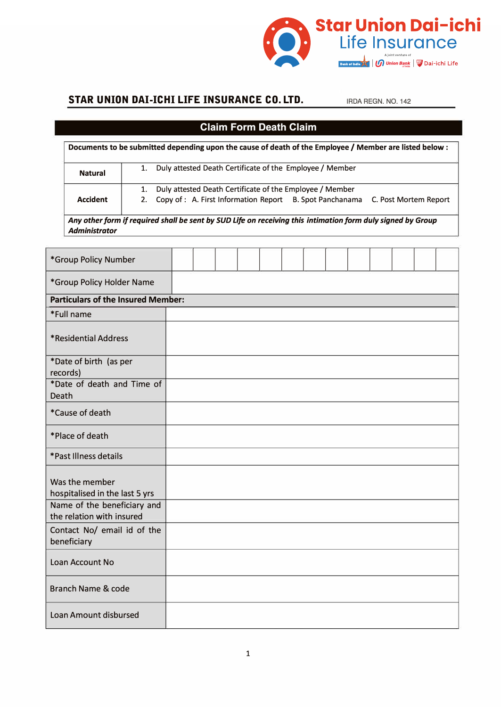

### **STAR UNION DAI-ICHI LIFE INSURANCE CO. LTD. IRDA REGN. NO. 142**

## **Claim Form Death Claim**

| Documents to be submitted depending upon the cause of death of the Employee / Member are listed below : |                                                                                                                                                        |  |  |  |  |  |
|---------------------------------------------------------------------------------------------------------|--------------------------------------------------------------------------------------------------------------------------------------------------------|--|--|--|--|--|
| <b>Natural</b>                                                                                          | 1. Duly attested Death Certificate of the Employee / Member                                                                                            |  |  |  |  |  |
| <b>Accident</b>                                                                                         | Duly attested Death Certificate of the Employee / Member<br>1.<br>2. Copy of : A. First Information Report B. Spot Panchanama<br>C. Post Mortem Report |  |  |  |  |  |
|                                                                                                         |                                                                                                                                                        |  |  |  |  |  |

*Any other form if required shall be sent by SUD Life on receiving this intimation form duly signed by Group Administrator*

| *Group Policy Number                                     |  |  |  |  |  |  |  |  |  |  |
|----------------------------------------------------------|--|--|--|--|--|--|--|--|--|--|
| *Group Policy Holder Name                                |  |  |  |  |  |  |  |  |  |  |
| <b>Particulars of the Insured Member:</b>                |  |  |  |  |  |  |  |  |  |  |
| *Full name                                               |  |  |  |  |  |  |  |  |  |  |
| *Residential Address                                     |  |  |  |  |  |  |  |  |  |  |
| *Date of birth (as per<br>records)                       |  |  |  |  |  |  |  |  |  |  |
| *Date of death and Time of<br><b>Death</b>               |  |  |  |  |  |  |  |  |  |  |
| *Cause of death                                          |  |  |  |  |  |  |  |  |  |  |
| *Place of death                                          |  |  |  |  |  |  |  |  |  |  |
| *Past Illness details                                    |  |  |  |  |  |  |  |  |  |  |
| Was the member<br>hospitalised in the last 5 yrs         |  |  |  |  |  |  |  |  |  |  |
| Name of the beneficiary and<br>the relation with insured |  |  |  |  |  |  |  |  |  |  |
| Contact No/ email id of the<br>beneficiary               |  |  |  |  |  |  |  |  |  |  |
| Loan Account No                                          |  |  |  |  |  |  |  |  |  |  |
| <b>Branch Name &amp; code</b>                            |  |  |  |  |  |  |  |  |  |  |
| Loan Amount disbursed                                    |  |  |  |  |  |  |  |  |  |  |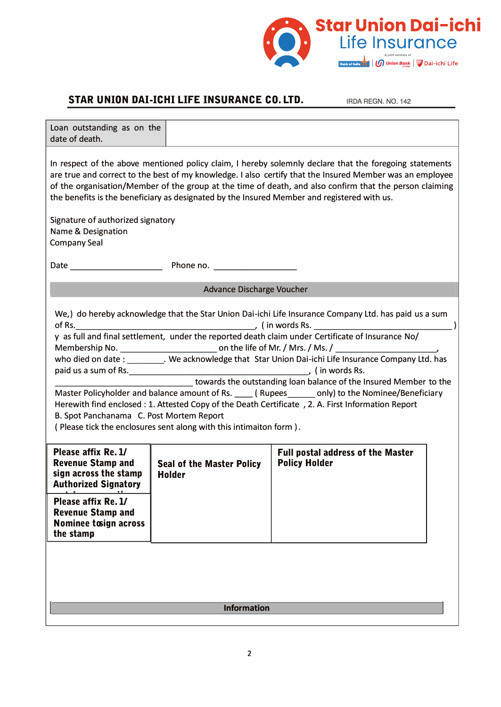

### **STAR UNION DAI-ICHI LIFE INSURANCE CO. LTD.** IRDA REGN. NO. 142

| Loan outstanding as on the<br>date of death.                                                                                                                                                                                                                                                                                                                                                                                                                                                                                                                                                                                                                                                                            |                                                   |                                                                  |  |  |  |  |  |  |
|-------------------------------------------------------------------------------------------------------------------------------------------------------------------------------------------------------------------------------------------------------------------------------------------------------------------------------------------------------------------------------------------------------------------------------------------------------------------------------------------------------------------------------------------------------------------------------------------------------------------------------------------------------------------------------------------------------------------------|---------------------------------------------------|------------------------------------------------------------------|--|--|--|--|--|--|
| In respect of the above mentioned policy claim, I hereby solemnly declare that the foregoing statements<br>are true and correct to the best of my knowledge. I also certify that the Insured Member was an employee<br>of the organisation/Member of the group at the time of death, and also confirm that the person claiming<br>the benefits is the beneficiary as designated by the Insured Member and registered with us.                                                                                                                                                                                                                                                                                           |                                                   |                                                                  |  |  |  |  |  |  |
| Signature of authorized signatory<br>Name & Designation<br><b>Company Seal</b>                                                                                                                                                                                                                                                                                                                                                                                                                                                                                                                                                                                                                                          |                                                   |                                                                  |  |  |  |  |  |  |
| Date example and the Phone no.                                                                                                                                                                                                                                                                                                                                                                                                                                                                                                                                                                                                                                                                                          |                                                   |                                                                  |  |  |  |  |  |  |
| <b>Advance Discharge Voucher</b>                                                                                                                                                                                                                                                                                                                                                                                                                                                                                                                                                                                                                                                                                        |                                                   |                                                                  |  |  |  |  |  |  |
| We,) do hereby acknowledge that the Star Union Dai-ichi Life Insurance Company Ltd. has paid us a sum<br>y as full and final settlement, under the reported death claim under Certificate of Insurance No/<br>who died on date : _________. We acknowledge that Star Union Dai-ichi Life Insurance Company Ltd. has<br>towards the outstanding loan balance of the Insured Member to the<br>Master Policyholder and balance amount of Rs. ____ (Rupees ______ only) to the Nominee/Beneficiary<br>Herewith find enclosed : 1. Attested Copy of the Death Certificate , 2. A. First Information Report<br>B. Spot Panchanama C. Post Mortem Report<br>(Please tick the enclosures sent along with this intimaiton form). |                                                   |                                                                  |  |  |  |  |  |  |
| Please affix Re. 1/<br><b>Revenue Stamp and</b><br>sign across the stamp<br><b>Authorized Signatory</b>                                                                                                                                                                                                                                                                                                                                                                                                                                                                                                                                                                                                                 | <b>Seal of the Master Policy</b><br><b>Holder</b> | <b>Full postal address of the Master</b><br><b>Policy Holder</b> |  |  |  |  |  |  |
| Please affix Re. 1/<br><b>Revenue Stamp and</b><br><b>Nominee tosign across</b><br>the stamp                                                                                                                                                                                                                                                                                                                                                                                                                                                                                                                                                                                                                            |                                                   |                                                                  |  |  |  |  |  |  |
|                                                                                                                                                                                                                                                                                                                                                                                                                                                                                                                                                                                                                                                                                                                         |                                                   |                                                                  |  |  |  |  |  |  |
| <b>Information</b>                                                                                                                                                                                                                                                                                                                                                                                                                                                                                                                                                                                                                                                                                                      |                                                   |                                                                  |  |  |  |  |  |  |